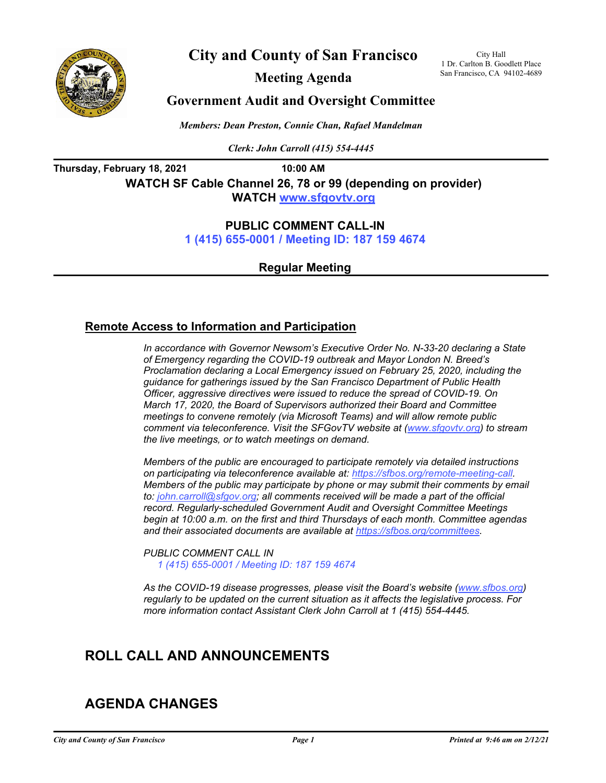

**City and County of San Francisco**

**Meeting Agenda**

City Hall 1 Dr. Carlton B. Goodlett Place San Francisco, CA 94102-4689

## **Government Audit and Oversight Committee**

*Members: Dean Preston, Connie Chan, Rafael Mandelman*

*Clerk: John Carroll (415) 554-4445*

**Thursday, February 18, 2021 10:00 AM**

**WATCH SF Cable Channel 26, 78 or 99 (depending on provider) WATCH<www.sfgovtv.org>**

### **PUBLIC COMMENT CALL-IN**

**[1 \(415\) 655-0001 / Meeting ID: 187 159 4674](tel:+14156550001,,1871594674#,,#)**

**Regular Meeting**

### **Remote Access to Information and Participation**

*In accordance with Governor Newsom's Executive Order No. N-33-20 declaring a State of Emergency regarding the COVID-19 outbreak and Mayor London N. Breed's Proclamation declaring a Local Emergency issued on February 25, 2020, including the guidance for gatherings issued by the San Francisco Department of Public Health Officer, aggressive directives were issued to reduce the spread of COVID-19. On March 17, 2020, the Board of Supervisors authorized their Board and Committee meetings to convene remotely (via Microsoft Teams) and will allow remote public comment via teleconference. Visit the SFGovTV website at [\(www.sfgovtv.org\)](www.sfgovtv.org) to stream the live meetings, or to watch meetings on demand.* 

*Members of the public are encouraged to participate remotely via detailed instructions on participating via teleconference available at: [https://sfbos.org/remote-meeting-call.](https://sfbos.org/remote-meeting-call)  Members of the public may participate by phone or may submit their comments by email to: john.carroll@sfgov.org; all comments received will be made a part of the official record. Regularly-scheduled Government Audit and Oversight Committee Meetings begin at 10:00 a.m. on the first and third Thursdays of each month. Committee agendas and their associated documents are available at [https://sfbos.org/committees.](https://sfbos.org/committees)*

*PUBLIC COMMENT CALL IN [1 \(415\) 655-0001 / Meeting ID: 187 159 4674](tel:+14156550001,,1871594674#,,#)*

As the COVID-19 disease progresses, please visit the Board's website (www.sfbos.org) *regularly to be updated on the current situation as it affects the legislative process. For more information contact Assistant Clerk John Carroll at 1 (415) 554-4445.*

# **ROLL CALL AND ANNOUNCEMENTS**

# **AGENDA CHANGES**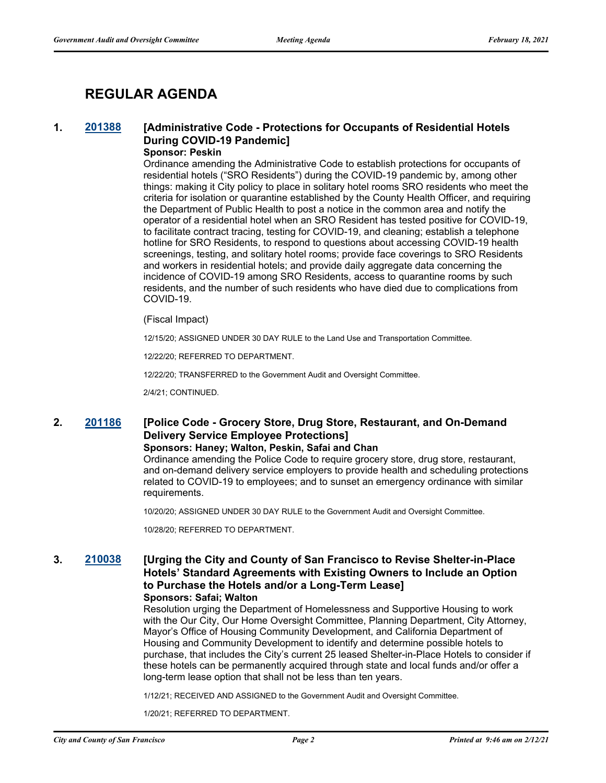# **REGULAR AGENDA**

## **1. [201388](http://sfgov.legistar.com/gateway.aspx?m=l&id=36824) [Administrative Code - Protections for Occupants of Residential Hotels During COVID-19 Pandemic]**

#### **Sponsor: Peskin**

Ordinance amending the Administrative Code to establish protections for occupants of residential hotels ("SRO Residents") during the COVID-19 pandemic by, among other things: making it City policy to place in solitary hotel rooms SRO residents who meet the criteria for isolation or quarantine established by the County Health Officer, and requiring the Department of Public Health to post a notice in the common area and notify the operator of a residential hotel when an SRO Resident has tested positive for COVID-19, to facilitate contract tracing, testing for COVID-19, and cleaning; establish a telephone hotline for SRO Residents, to respond to questions about accessing COVID-19 health screenings, testing, and solitary hotel rooms; provide face coverings to SRO Residents and workers in residential hotels; and provide daily aggregate data concerning the incidence of COVID-19 among SRO Residents, access to quarantine rooms by such residents, and the number of such residents who have died due to complications from COVID-19.

#### (Fiscal Impact)

12/15/20; ASSIGNED UNDER 30 DAY RULE to the Land Use and Transportation Committee.

12/22/20; REFERRED TO DEPARTMENT.

12/22/20; TRANSFERRED to the Government Audit and Oversight Committee.

2/4/21; CONTINUED.

## **2. [201186](http://sfgov.legistar.com/gateway.aspx?m=l&id=36622) [Police Code - Grocery Store, Drug Store, Restaurant, and On-Demand Delivery Service Employee Protections]**

#### **Sponsors: Haney; Walton, Peskin, Safai and Chan**

Ordinance amending the Police Code to require grocery store, drug store, restaurant, and on-demand delivery service employers to provide health and scheduling protections related to COVID-19 to employees; and to sunset an emergency ordinance with similar requirements.

10/20/20; ASSIGNED UNDER 30 DAY RULE to the Government Audit and Oversight Committee.

10/28/20; REFERRED TO DEPARTMENT.

#### **3. [210038](http://sfgov.legistar.com/gateway.aspx?m=l&id=36908) [Urging the City and County of San Francisco to Revise Shelter-in-Place Hotels' Standard Agreements with Existing Owners to Include an Option to Purchase the Hotels and/or a Long-Term Lease] Sponsors: Safai; Walton**

Resolution urging the Department of Homelessness and Supportive Housing to work with the Our City, Our Home Oversight Committee, Planning Department, City Attorney, Mayor's Office of Housing Community Development, and California Department of Housing and Community Development to identify and determine possible hotels to purchase, that includes the City's current 25 leased Shelter-in-Place Hotels to consider if these hotels can be permanently acquired through state and local funds and/or offer a long-term lease option that shall not be less than ten years.

1/12/21; RECEIVED AND ASSIGNED to the Government Audit and Oversight Committee.

1/20/21; REFERRED TO DEPARTMENT.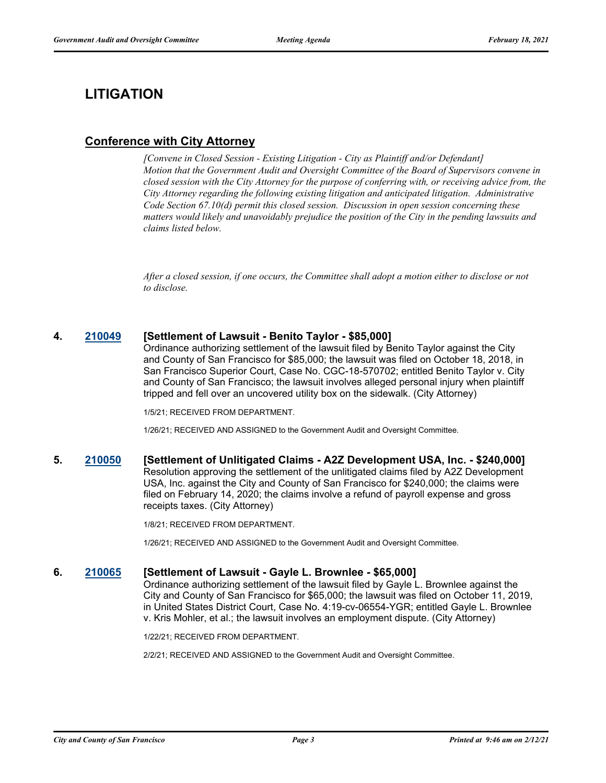# **LITIGATION**

## **Conference with City Attorney**

*[Convene in Closed Session - Existing Litigation - City as Plaintiff and/or Defendant] Motion that the Government Audit and Oversight Committee of the Board of Supervisors convene in closed session with the City Attorney for the purpose of conferring with, or receiving advice from, the City Attorney regarding the following existing litigation and anticipated litigation. Administrative Code Section 67.10(d) permit this closed session. Discussion in open session concerning these matters would likely and unavoidably prejudice the position of the City in the pending lawsuits and claims listed below.*

*After a closed session, if one occurs, the Committee shall adopt a motion either to disclose or not to disclose.*

#### **4. [210049](http://sfgov.legistar.com/gateway.aspx?m=l&id=36919) [Settlement of Lawsuit - Benito Taylor - \$85,000]**

Ordinance authorizing settlement of the lawsuit filed by Benito Taylor against the City and County of San Francisco for \$85,000; the lawsuit was filed on October 18, 2018, in San Francisco Superior Court, Case No. CGC-18-570702; entitled Benito Taylor v. City and County of San Francisco; the lawsuit involves alleged personal injury when plaintiff tripped and fell over an uncovered utility box on the sidewalk. (City Attorney)

1/5/21; RECEIVED FROM DEPARTMENT.

1/26/21; RECEIVED AND ASSIGNED to the Government Audit and Oversight Committee.

#### **5. [210050](http://sfgov.legistar.com/gateway.aspx?m=l&id=36920) [Settlement of Unlitigated Claims - A2Z Development USA, Inc. - \$240,000]** Resolution approving the settlement of the unlitigated claims filed by A2Z Development USA, Inc. against the City and County of San Francisco for \$240,000; the claims were filed on February 14, 2020; the claims involve a refund of payroll expense and gross receipts taxes. (City Attorney)

1/8/21; RECEIVED FROM DEPARTMENT.

1/26/21; RECEIVED AND ASSIGNED to the Government Audit and Oversight Committee.

#### **6. [210065](http://sfgov.legistar.com/gateway.aspx?m=l&id=36935) [Settlement of Lawsuit - Gayle L. Brownlee - \$65,000]**

Ordinance authorizing settlement of the lawsuit filed by Gayle L. Brownlee against the City and County of San Francisco for \$65,000; the lawsuit was filed on October 11, 2019, in United States District Court, Case No. 4:19-cv-06554-YGR; entitled Gayle L. Brownlee v. Kris Mohler, et al.; the lawsuit involves an employment dispute. (City Attorney)

1/22/21; RECEIVED FROM DEPARTMENT.

2/2/21; RECEIVED AND ASSIGNED to the Government Audit and Oversight Committee.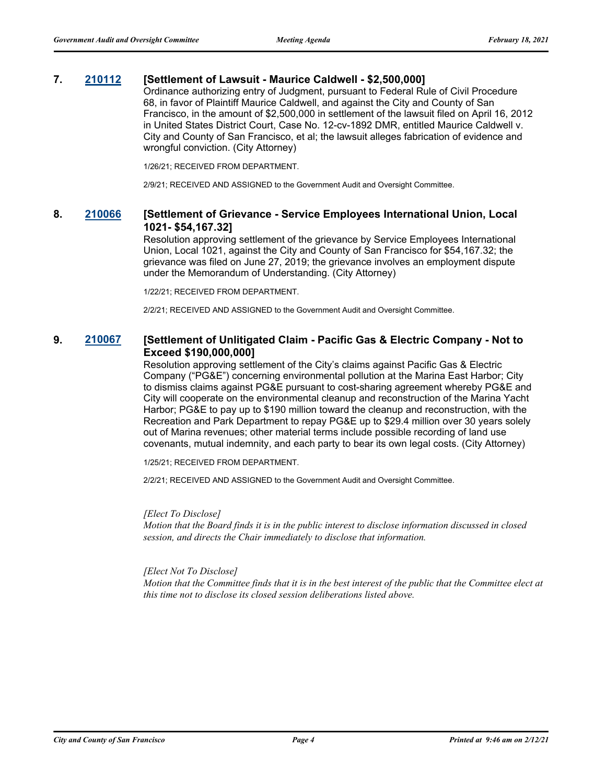#### **7. [210112](http://sfgov.legistar.com/gateway.aspx?m=l&id=36982) [Settlement of Lawsuit - Maurice Caldwell - \$2,500,000]**

Ordinance authorizing entry of Judgment, pursuant to Federal Rule of Civil Procedure 68, in favor of Plaintiff Maurice Caldwell, and against the City and County of San Francisco, in the amount of \$2,500,000 in settlement of the lawsuit filed on April 16, 2012 in United States District Court, Case No. 12-cv-1892 DMR, entitled Maurice Caldwell v. City and County of San Francisco, et al; the lawsuit alleges fabrication of evidence and wrongful conviction. (City Attorney)

1/26/21; RECEIVED FROM DEPARTMENT.

2/9/21; RECEIVED AND ASSIGNED to the Government Audit and Oversight Committee.

#### **8. [210066](http://sfgov.legistar.com/gateway.aspx?m=l&id=36936) [Settlement of Grievance - Service Employees International Union, Local 1021- \$54,167.32]**

Resolution approving settlement of the grievance by Service Employees International Union, Local 1021, against the City and County of San Francisco for \$54,167.32; the grievance was filed on June 27, 2019; the grievance involves an employment dispute under the Memorandum of Understanding. (City Attorney)

1/22/21; RECEIVED FROM DEPARTMENT.

2/2/21; RECEIVED AND ASSIGNED to the Government Audit and Oversight Committee.

#### **9. [210067](http://sfgov.legistar.com/gateway.aspx?m=l&id=36937) [Settlement of Unlitigated Claim - Pacific Gas & Electric Company - Not to Exceed \$190,000,000]**

Resolution approving settlement of the City's claims against Pacific Gas & Electric Company ("PG&E") concerning environmental pollution at the Marina East Harbor; City to dismiss claims against PG&E pursuant to cost-sharing agreement whereby PG&E and City will cooperate on the environmental cleanup and reconstruction of the Marina Yacht Harbor; PG&E to pay up to \$190 million toward the cleanup and reconstruction, with the Recreation and Park Department to repay PG&E up to \$29.4 million over 30 years solely out of Marina revenues; other material terms include possible recording of land use covenants, mutual indemnity, and each party to bear its own legal costs. (City Attorney)

1/25/21; RECEIVED FROM DEPARTMENT.

2/2/21; RECEIVED AND ASSIGNED to the Government Audit and Oversight Committee.

#### *[Elect To Disclose]*

*Motion that the Board finds it is in the public interest to disclose information discussed in closed session, and directs the Chair immediately to disclose that information.*

#### *[Elect Not To Disclose]*

*Motion that the Committee finds that it is in the best interest of the public that the Committee elect at this time not to disclose its closed session deliberations listed above.*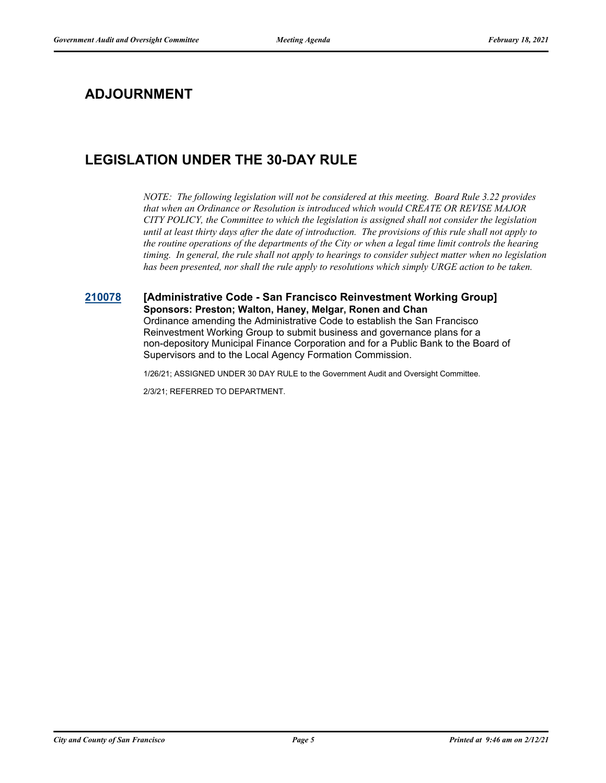# **ADJOURNMENT**

# **LEGISLATION UNDER THE 30-DAY RULE**

*NOTE: The following legislation will not be considered at this meeting. Board Rule 3.22 provides that when an Ordinance or Resolution is introduced which would CREATE OR REVISE MAJOR CITY POLICY, the Committee to which the legislation is assigned shall not consider the legislation until at least thirty days after the date of introduction. The provisions of this rule shall not apply to the routine operations of the departments of the City or when a legal time limit controls the hearing timing. In general, the rule shall not apply to hearings to consider subject matter when no legislation has been presented, nor shall the rule apply to resolutions which simply URGE action to be taken.*

#### **[210078](http://sfgov.legistar.com/gateway.aspx?m=l&id=36948) [Administrative Code - San Francisco Reinvestment Working Group] Sponsors: Preston; Walton, Haney, Melgar, Ronen and Chan**

Ordinance amending the Administrative Code to establish the San Francisco Reinvestment Working Group to submit business and governance plans for a non-depository Municipal Finance Corporation and for a Public Bank to the Board of Supervisors and to the Local Agency Formation Commission.

1/26/21; ASSIGNED UNDER 30 DAY RULE to the Government Audit and Oversight Committee.

2/3/21; REFERRED TO DEPARTMENT.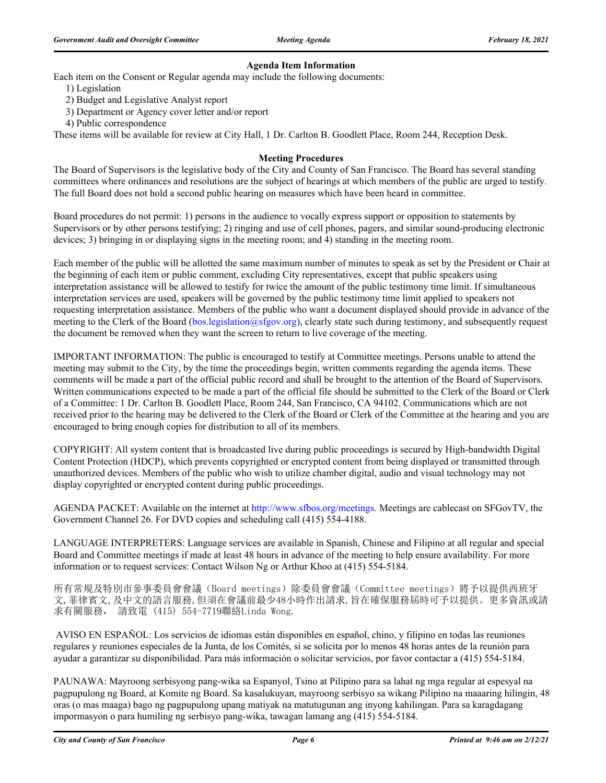#### **Agenda Item Information**

Each item on the Consent or Regular agenda may include the following documents:

- 1) Legislation
- 2) Budget and Legislative Analyst report
- 3) Department or Agency cover letter and/or report
- 4) Public correspondence

These items will be available for review at City Hall, 1 Dr. Carlton B. Goodlett Place, Room 244, Reception Desk.

#### **Meeting Procedures**

The Board of Supervisors is the legislative body of the City and County of San Francisco. The Board has several standing committees where ordinances and resolutions are the subject of hearings at which members of the public are urged to testify. The full Board does not hold a second public hearing on measures which have been heard in committee.

Board procedures do not permit: 1) persons in the audience to vocally express support or opposition to statements by Supervisors or by other persons testifying; 2) ringing and use of cell phones, pagers, and similar sound-producing electronic devices; 3) bringing in or displaying signs in the meeting room; and 4) standing in the meeting room.

Each member of the public will be allotted the same maximum number of minutes to speak as set by the President or Chair at the beginning of each item or public comment, excluding City representatives, except that public speakers using interpretation assistance will be allowed to testify for twice the amount of the public testimony time limit. If simultaneous interpretation services are used, speakers will be governed by the public testimony time limit applied to speakers not requesting interpretation assistance. Members of the public who want a document displayed should provide in advance of the meeting to the Clerk of the Board (bos.legislation@sfgov.org), clearly state such during testimony, and subsequently request the document be removed when they want the screen to return to live coverage of the meeting.

IMPORTANT INFORMATION: The public is encouraged to testify at Committee meetings. Persons unable to attend the meeting may submit to the City, by the time the proceedings begin, written comments regarding the agenda items. These comments will be made a part of the official public record and shall be brought to the attention of the Board of Supervisors. Written communications expected to be made a part of the official file should be submitted to the Clerk of the Board or Clerk of a Committee: 1 Dr. Carlton B. Goodlett Place, Room 244, San Francisco, CA 94102. Communications which are not received prior to the hearing may be delivered to the Clerk of the Board or Clerk of the Committee at the hearing and you are encouraged to bring enough copies for distribution to all of its members.

COPYRIGHT: All system content that is broadcasted live during public proceedings is secured by High-bandwidth Digital Content Protection (HDCP), which prevents copyrighted or encrypted content from being displayed or transmitted through unauthorized devices. Members of the public who wish to utilize chamber digital, audio and visual technology may not display copyrighted or encrypted content during public proceedings.

AGENDA PACKET: Available on the internet at http://www.sfbos.org/meetings. Meetings are cablecast on SFGovTV, the Government Channel 26. For DVD copies and scheduling call (415) 554-4188.

LANGUAGE INTERPRETERS: Language services are available in Spanish, Chinese and Filipino at all regular and special Board and Committee meetings if made at least 48 hours in advance of the meeting to help ensure availability. For more information or to request services: Contact Wilson Ng or Arthur Khoo at (415) 554-5184.

所有常規及特別市參事委員會會議(Board meetings)除委員會會議(Committee meetings)將予以提供西班牙 文,菲律賓文,及中文的語言服務,但須在會議前最少48小時作出請求,旨在確保服務屆時可予以提供。更多資訊或請 求有關服務, 請致電 (415) 554-7719聯絡Linda Wong.

 AVISO EN ESPAÑOL: Los servicios de idiomas están disponibles en español, chino, y filipino en todas las reuniones regulares y reuniones especiales de la Junta, de los Comités, si se solicita por lo menos 48 horas antes de la reunión para ayudar a garantizar su disponibilidad. Para más información o solicitar servicios, por favor contactar a (415) 554-5184.

PAUNAWA: Mayroong serbisyong pang-wika sa Espanyol, Tsino at Pilipino para sa lahat ng mga regular at espesyal na pagpupulong ng Board, at Komite ng Board. Sa kasalukuyan, mayroong serbisyo sa wikang Pilipino na maaaring hilingin, 48 oras (o mas maaga) bago ng pagpupulong upang matiyak na matutugunan ang inyong kahilingan. Para sa karagdagang impormasyon o para humiling ng serbisyo pang-wika, tawagan lamang ang (415) 554-5184.